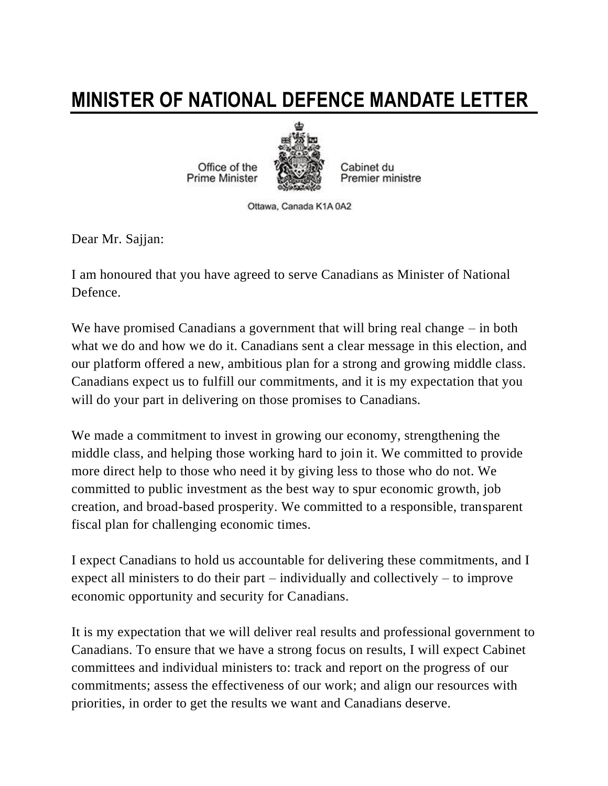## **MINISTER OF NATIONAL DEFENCE MANDATE LETTER**

Office of the Prime Minister



Cabinet du Premier ministre

Ottawa, Canada K1A 0A2

Dear Mr. Sajjan:

I am honoured that you have agreed to serve Canadians as Minister of National Defence.

We have promised Canadians a government that will bring real change – in both what we do and how we do it. Canadians sent a clear message in this election, and our platform offered a new, ambitious plan for a strong and growing middle class. Canadians expect us to fulfill our commitments, and it is my expectation that you will do your part in delivering on those promises to Canadians.

We made a commitment to invest in growing our economy, strengthening the middle class, and helping those working hard to join it. We committed to provide more direct help to those who need it by giving less to those who do not. We committed to public investment as the best way to spur economic growth, job creation, and broad-based prosperity. We committed to a responsible, transparent fiscal plan for challenging economic times.

I expect Canadians to hold us accountable for delivering these commitments, and I expect all ministers to do their part – individually and collectively – to improve economic opportunity and security for Canadians.

It is my expectation that we will deliver real results and professional government to Canadians. To ensure that we have a strong focus on results, I will expect Cabinet committees and individual ministers to: track and report on the progress of our commitments; assess the effectiveness of our work; and align our resources with priorities, in order to get the results we want and Canadians deserve.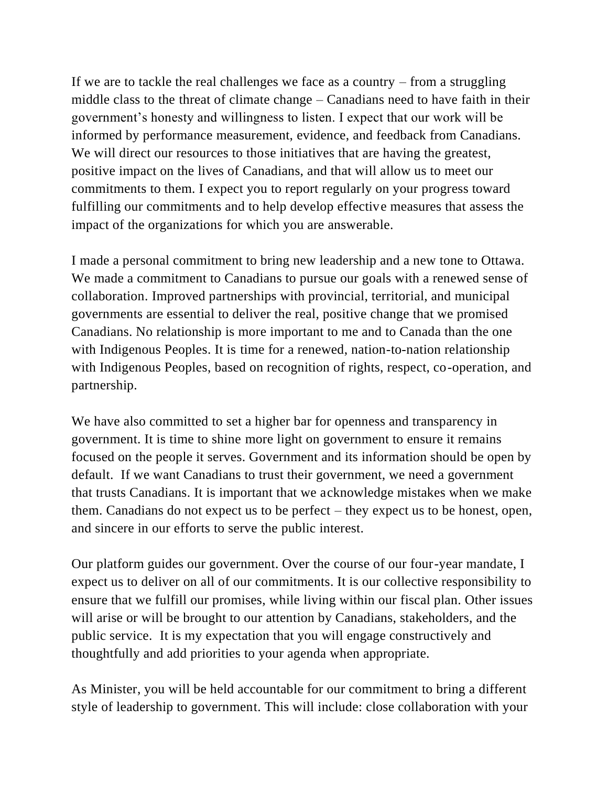If we are to tackle the real challenges we face as a country – from a struggling middle class to the threat of climate change – Canadians need to have faith in their government's honesty and willingness to listen. I expect that our work will be informed by performance measurement, evidence, and feedback from Canadians. We will direct our resources to those initiatives that are having the greatest, positive impact on the lives of Canadians, and that will allow us to meet our commitments to them. I expect you to report regularly on your progress toward fulfilling our commitments and to help develop effective measures that assess the impact of the organizations for which you are answerable.

I made a personal commitment to bring new leadership and a new tone to Ottawa. We made a commitment to Canadians to pursue our goals with a renewed sense of collaboration. Improved partnerships with provincial, territorial, and municipal governments are essential to deliver the real, positive change that we promised Canadians. No relationship is more important to me and to Canada than the one with Indigenous Peoples. It is time for a renewed, nation-to-nation relationship with Indigenous Peoples, based on recognition of rights, respect, co-operation, and partnership.

We have also committed to set a higher bar for openness and transparency in government. It is time to shine more light on government to ensure it remains focused on the people it serves. Government and its information should be open by default. If we want Canadians to trust their government, we need a government that trusts Canadians. It is important that we acknowledge mistakes when we make them. Canadians do not expect us to be perfect – they expect us to be honest, open, and sincere in our efforts to serve the public interest.

Our platform guides our government. Over the course of our four-year mandate, I expect us to deliver on all of our commitments. It is our collective responsibility to ensure that we fulfill our promises, while living within our fiscal plan. Other issues will arise or will be brought to our attention by Canadians, stakeholders, and the public service. It is my expectation that you will engage constructively and thoughtfully and add priorities to your agenda when appropriate.

As Minister, you will be held accountable for our commitment to bring a different style of leadership to government. This will include: close collaboration with your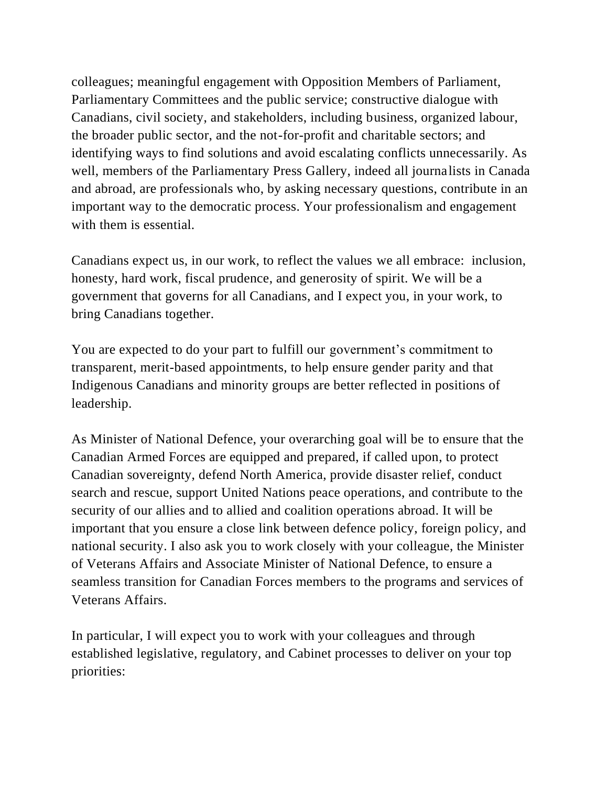colleagues; meaningful engagement with Opposition Members of Parliament, Parliamentary Committees and the public service; constructive dialogue with Canadians, civil society, and stakeholders, including business, organized labour, the broader public sector, and the not-for-profit and charitable sectors; and identifying ways to find solutions and avoid escalating conflicts unnecessarily. As well, members of the Parliamentary Press Gallery, indeed all journalists in Canada and abroad, are professionals who, by asking necessary questions, contribute in an important way to the democratic process. Your professionalism and engagement with them is essential.

Canadians expect us, in our work, to reflect the values we all embrace: inclusion, honesty, hard work, fiscal prudence, and generosity of spirit. We will be a government that governs for all Canadians, and I expect you, in your work, to bring Canadians together.

You are expected to do your part to fulfill our government's commitment to transparent, merit-based appointments, to help ensure gender parity and that Indigenous Canadians and minority groups are better reflected in positions of leadership.

As Minister of National Defence, your overarching goal will be to ensure that the Canadian Armed Forces are equipped and prepared, if called upon, to protect Canadian sovereignty, defend North America, provide disaster relief, conduct search and rescue, support United Nations peace operations, and contribute to the security of our allies and to allied and coalition operations abroad. It will be important that you ensure a close link between defence policy, foreign policy, and national security. I also ask you to work closely with your colleague, the Minister of Veterans Affairs and Associate Minister of National Defence, to ensure a seamless transition for Canadian Forces members to the programs and services of Veterans Affairs.

In particular, I will expect you to work with your colleagues and through established legislative, regulatory, and Cabinet processes to deliver on your top priorities: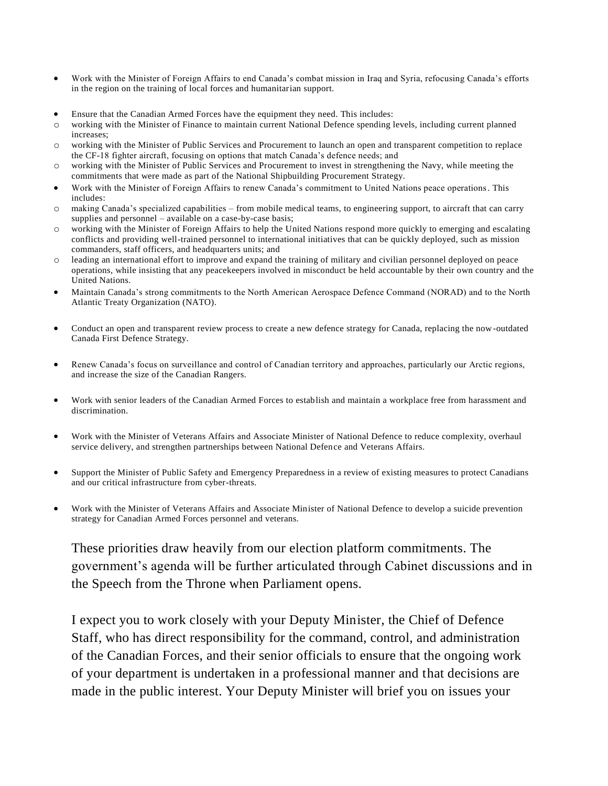- Work with the Minister of Foreign Affairs to end Canada's combat mission in Iraq and Syria, refocusing Canada's efforts in the region on the training of local forces and humanitarian support.
- Ensure that the Canadian Armed Forces have the equipment they need. This includes:
- o working with the Minister of Finance to maintain current National Defence spending levels, including current planned increases;
- o working with the Minister of Public Services and Procurement to launch an open and transparent competition to replace the CF-18 fighter aircraft, focusing on options that match Canada's defence needs; and
- o working with the Minister of Public Services and Procurement to invest in strengthening the Navy, while meeting the commitments that were made as part of the National Shipbuilding Procurement Strategy.
- Work with the Minister of Foreign Affairs to renew Canada's commitment to United Nations peace operations. This includes:
- o making Canada's specialized capabilities from mobile medical teams, to engineering support, to aircraft that can carry supplies and personnel – available on a case-by-case basis;
- o working with the Minister of Foreign Affairs to help the United Nations respond more quickly to emerging and escalating conflicts and providing well-trained personnel to international initiatives that can be quickly deployed, such as mission commanders, staff officers, and headquarters units; and
- o leading an international effort to improve and expand the training of military and civilian personnel deployed on peace operations, while insisting that any peacekeepers involved in misconduct be held accountable by their own country and the United Nations.
- Maintain Canada's strong commitments to the North American Aerospace Defence Command (NORAD) and to the North Atlantic Treaty Organization (NATO).
- Conduct an open and transparent review process to create a new defence strategy for Canada, replacing the now-outdated Canada First Defence Strategy.
- Renew Canada's focus on surveillance and control of Canadian territory and approaches, particularly our Arctic regions, and increase the size of the Canadian Rangers.
- Work with senior leaders of the Canadian Armed Forces to establish and maintain a workplace free from harassment and discrimination.
- Work with the Minister of Veterans Affairs and Associate Minister of National Defence to reduce complexity, overhaul service delivery, and strengthen partnerships between National Defence and Veterans Affairs.
- Support the Minister of Public Safety and Emergency Preparedness in a review of existing measures to protect Canadians and our critical infrastructure from cyber-threats.
- Work with the Minister of Veterans Affairs and Associate Minister of National Defence to develop a suicide prevention strategy for Canadian Armed Forces personnel and veterans.

These priorities draw heavily from our election platform commitments. The government's agenda will be further articulated through Cabinet discussions and in the Speech from the Throne when Parliament opens.

I expect you to work closely with your Deputy Minister, the Chief of Defence Staff, who has direct responsibility for the command, control, and administration of the Canadian Forces, and their senior officials to ensure that the ongoing work of your department is undertaken in a professional manner and that decisions are made in the public interest. Your Deputy Minister will brief you on issues your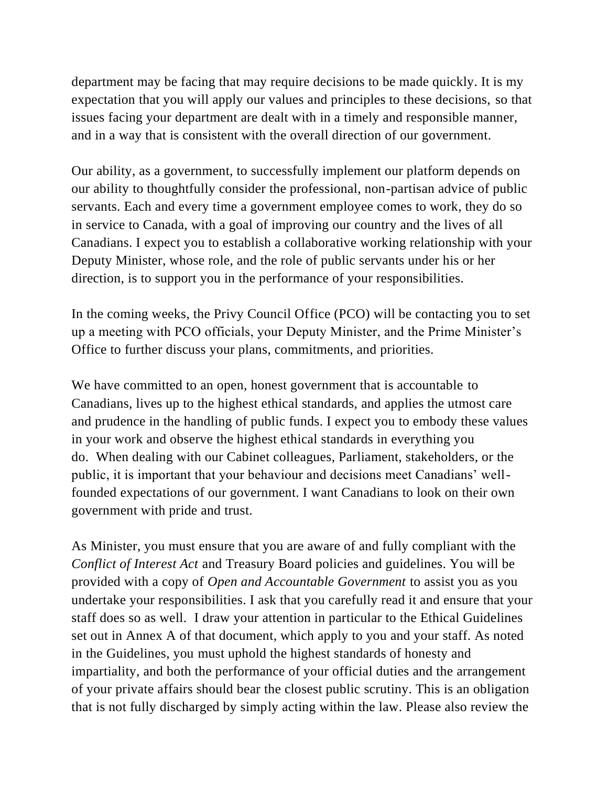department may be facing that may require decisions to be made quickly. It is my expectation that you will apply our values and principles to these decisions, so that issues facing your department are dealt with in a timely and responsible manner, and in a way that is consistent with the overall direction of our government.

Our ability, as a government, to successfully implement our platform depends on our ability to thoughtfully consider the professional, non-partisan advice of public servants. Each and every time a government employee comes to work, they do so in service to Canada, with a goal of improving our country and the lives of all Canadians. I expect you to establish a collaborative working relationship with your Deputy Minister, whose role, and the role of public servants under his or her direction, is to support you in the performance of your responsibilities.

In the coming weeks, the Privy Council Office (PCO) will be contacting you to set up a meeting with PCO officials, your Deputy Minister, and the Prime Minister's Office to further discuss your plans, commitments, and priorities.

We have committed to an open, honest government that is accountable to Canadians, lives up to the highest ethical standards, and applies the utmost care and prudence in the handling of public funds. I expect you to embody these values in your work and observe the highest ethical standards in everything you do. When dealing with our Cabinet colleagues, Parliament, stakeholders, or the public, it is important that your behaviour and decisions meet Canadians' wellfounded expectations of our government. I want Canadians to look on their own government with pride and trust.

As Minister, you must ensure that you are aware of and fully compliant with the *Conflict of Interest Act* and Treasury Board policies and guidelines. You will be provided with a copy of *Open and Accountable Government* to assist you as you undertake your responsibilities. I ask that you carefully read it and ensure that your staff does so as well. I draw your attention in particular to the Ethical Guidelines set out in Annex A of that document, which apply to you and your staff. As noted in the Guidelines, you must uphold the highest standards of honesty and impartiality, and both the performance of your official duties and the arrangement of your private affairs should bear the closest public scrutiny. This is an obligation that is not fully discharged by simply acting within the law. Please also review the